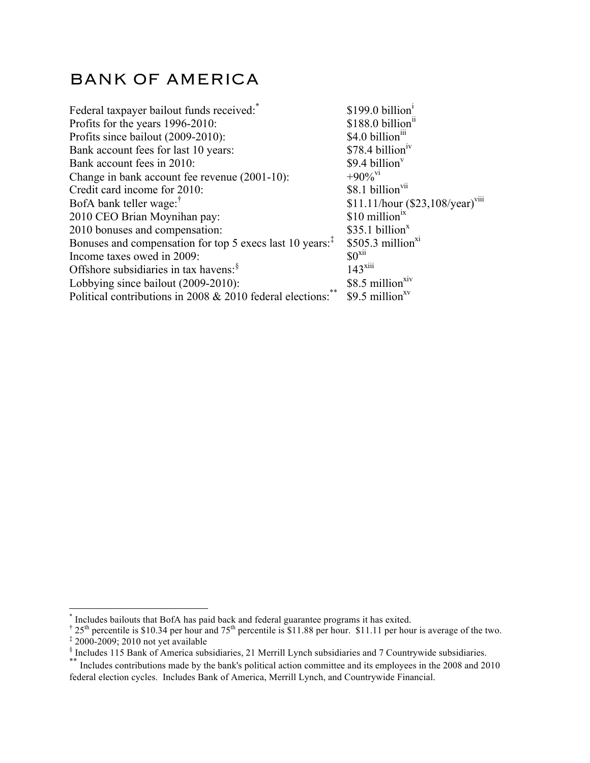## BANK OF AMERICA

| Federal taxpayer bailout funds received:                             | \$199.0 billion <sup>1</sup>                          |
|----------------------------------------------------------------------|-------------------------------------------------------|
| Profits for the years 1996-2010:                                     | $$188.0$ billion <sup>11</sup>                        |
| Profits since bailout (2009-2010):                                   | \$4.0 billion <sup>111</sup>                          |
| Bank account fees for last 10 years:                                 | \$78.4 billion <sup>1V</sup>                          |
| Bank account fees in 2010:                                           | $$9.4$ billion <sup>v</sup>                           |
| Change in bank account fee revenue (2001-10):                        | $+90\%$ <sup>V1</sup>                                 |
| Credit card income for 2010:                                         | \$8.1 billion <sup>vii</sup>                          |
| BofA bank teller wage: <sup>†</sup>                                  | \$11.11/hour $(\$23,108/\text{year})$ <sup>viii</sup> |
| 2010 CEO Brian Moynihan pay:                                         | $$10$ million <sup>1X</sup>                           |
| 2010 bonuses and compensation:                                       | \$35.1 billion <sup>x</sup>                           |
| Bonuses and compensation for top 5 execs last 10 years. <sup>‡</sup> | $$505.3$ million <sup>x1</sup>                        |
| Income taxes owed in 2009:                                           | $$0^{x11}$                                            |
| Offshore subsidiaries in tax havens: <sup>§</sup>                    | $143$ <sup>xiii</sup>                                 |
| Lobbying since bailout (2009-2010):                                  | \$8.5 million <sup>x1V</sup>                          |
| Political contributions in 2008 & 2010 federal elections:            | \$9.5 million $xv$                                    |
|                                                                      |                                                       |

 <sup>\*</sup> Includes bailouts that BofA has paid back and federal guarantee programs it has exited.

<sup>&</sup>lt;sup>†</sup> 25<sup>th</sup> percentile is \$10.34 per hour and 75<sup>th</sup> percentile is \$11.88 per hour. \$11.11 per hour is average of the two. ‡ 2000-2009; 2010 not yet available

 $\frac{8}{3}$  Includes 115 Bank of America subsidiaries, 21 Merrill Lynch subsidiaries and 7 Countrywide subsidiaries.

<sup>\*\*</sup> Includes contributions made by the bank's political action committee and its employees in the 2008 and 2010 federal election cycles. Includes Bank of America, Merrill Lynch, and Countrywide Financial.